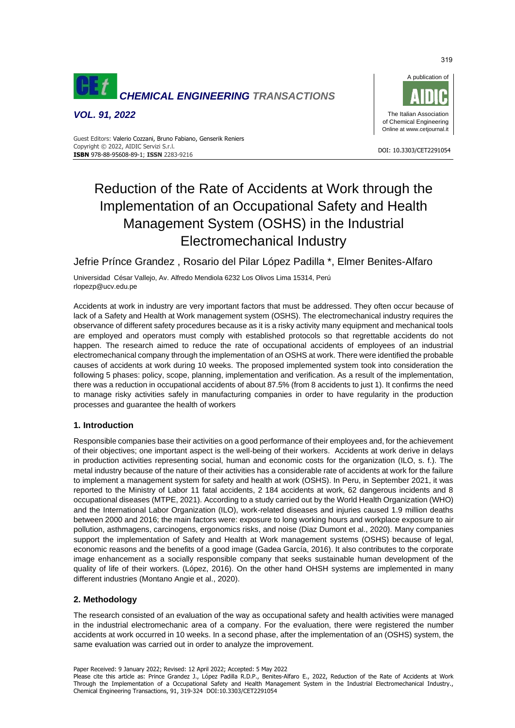

*VOL. 91, 2022*



#### DOI: 10.3303/CET2291054 **ISBN** 978-88-95608-89-1; **ISSN** 2283-9216 Guest Editors: Valerio Cozzani, Bruno Fabiano, Genserik Reniers Copyright © 2022, AIDIC Servizi S.r.l.

# Reduction of the Rate of Accidents at Work through the Implementation of an Occupational Safety and Health Management System (OSHS) in the Industrial Electromechanical Industry

Jefrie Prínce Grandez , Rosario del Pilar López Padilla \*, Elmer Benites-Alfaro

Universidad César Vallejo, Av. Alfredo Mendiola 6232 Los Olivos Lima 15314, Perú rlopezp@ucv.edu.pe

Accidents at work in industry are very important factors that must be addressed. They often occur because of lack of a Safety and Health at Work management system (OSHS). The electromechanical industry requires the observance of different safety procedures because as it is a risky activity many equipment and mechanical tools are employed and operators must comply with established protocols so that regrettable accidents do not happen. The research aimed to reduce the rate of occupational accidents of employees of an industrial electromechanical company through the implementation of an OSHS at work. There were identified the probable causes of accidents at work during 10 weeks. The proposed implemented system took into consideration the following 5 phases: policy, scope, planning, implementation and verification. As a result of the implementation, there was a reduction in occupational accidents of about 87.5% (from 8 accidents to just 1). It confirms the need to manage risky activities safely in manufacturing companies in order to have regularity in the production processes and guarantee the health of workers

# **1. Introduction**

Responsible companies base their activities on a good performance of their employees and, for the achievement of their objectives; one important aspect is the well-being of their workers. Accidents at work derive in delays in production activities representing social, human and economic costs for the organization (ILO, s. f.). The metal industry because of the nature of their activities has a considerable rate of accidents at work for the failure to implement a management system for safety and health at work (OSHS). In Peru, in September 2021, it was reported to the Ministry of Labor 11 fatal accidents, 2 184 accidents at work, 62 dangerous incidents and 8 occupational diseases (MTPE, 2021). According to a study carried out by the World Health Organization (WHO) and the International Labor Organization (ILO), work-related diseases and injuries caused 1.9 million deaths between 2000 and 2016; the main factors were: exposure to long working hours and workplace exposure to air pollution, asthmagens, carcinogens, ergonomics risks, and noise (Diaz Dumont et al., 2020). Many companies support the implementation of Safety and Health at Work management systems (OSHS) because of legal, economic reasons and the benefits of a good image (Gadea García, 2016). It also contributes to the corporate image enhancement as a socially responsible company that seeks sustainable human development of the quality of life of their workers. (López, 2016). On the other hand OHSH systems are implemented in many different industries (Montano Angie et al., 2020).

# **2. Methodology**

The research consisted of an evaluation of the way as occupational safety and health activities were managed in the industrial electromechanic area of a company. For the evaluation, there were registered the number accidents at work occurred in 10 weeks. In a second phase, after the implementation of an (OSHS) system, the same evaluation was carried out in order to analyze the improvement.

Paper Received: 9 January 2022; Revised: 12 April 2022; Accepted: 5 May 2022

Please cite this article as: Prince Grandez J., López Padilla R.D.P., Benites-Alfaro E., 2022, Reduction of the Rate of Accidents at Work Through the Implementation of a Occupational Safety and Health Management System in the Industrial Electromechanical Industry., Chemical Engineering Transactions, 91, 319-324 DOI:10.3303/CET2291054

319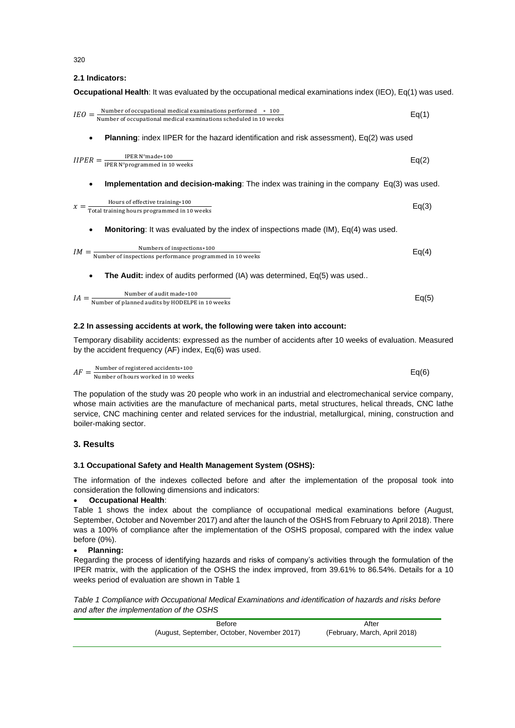**2.1 Indicators:**

**Occupational Health**: It was evaluated by the occupational medical examinations index (IEO), Eq(1) was used.

| $\textit{IEO} = \frac{\text{Number of occasional medical examinations performed} \times 100}{\text{Number of occupational medical examinations scheduled in 10 weeks}}$ | Eq(1) |
|-------------------------------------------------------------------------------------------------------------------------------------------------------------------------|-------|
| <b>Planning:</b> index IIPER for the hazard identification and risk assessment), $Eq(2)$ was used<br>٠                                                                  |       |
| $IIPER = \frac{IPER N^{\circ} \text{made} * 100}{IPER N^{\circ} \text{programmed in 10 weeks}}$                                                                         | Eq(2) |
| <b>Implementation and decision-making:</b> The index was training in the company $Eq(3)$ was used.<br>٠                                                                 |       |
| $x = \frac{\text{Hours of effective training} \times 100}{\text{Total training hours programmed in 10 weeks}}$                                                          | Eq(3) |
| <b>Monitoring:</b> It was evaluated by the index of inspections made (IM), Eq(4) was used.                                                                              |       |
| $IM = \frac{\text{Numbers of inspections}*100}{\text{Number of inspections performance programmed in 10 weeks}}$                                                        | Eq(4) |
| The Audit: index of audits performed (IA) was determined, Eq(5) was used                                                                                                |       |
| $IA = \frac{\text{Number of audit made}*100}{\text{Number of planned adults by HODELPE in 10 weeks}}$                                                                   | Eq(5) |

# **2.2 In assessing accidents at work, the following were taken into account:**

Temporary disability accidents: expressed as the number of accidents after 10 weeks of evaluation. Measured by the accident frequency (AF) index, Eq(6) was used.

 $AF = \frac{\text{Number of registered accelers*100}}{\text{Number of hours worked in 10 weeks}}$  Eq(6) Number of registered accidents∗100

The population of the study was 20 people who work in an industrial and electromechanical service company, whose main activities are the manufacture of mechanical parts, metal structures, helical threads, CNC lathe service, CNC machining center and related services for the industrial, metallurgical, mining, construction and boiler-making sector.

# **3. Results**

# **3.1 Occupational Safety and Health Management System (OSHS):**

The information of the indexes collected before and after the implementation of the proposal took into consideration the following dimensions and indicators:

# • **Occupational Health**:

Table 1 shows the index about the compliance of occupational medical examinations before (August, September, October and November 2017) and after the launch of the OSHS from February to April 2018). There was a 100% of compliance after the implementation of the OSHS proposal, compared with the index value before (0%).

# • **Planning:**

Regarding the process of identifying hazards and risks of company's activities through the formulation of the IPER matrix, with the application of the OSHS the index improved, from 39.61% to 86.54%. Details for a 10 weeks period of evaluation are shown in Table 1

*Table 1 Compliance with Occupational Medical Examinations and identification of hazards and risks before and after the implementation of the OSHS*

| Before                                      | After                         |
|---------------------------------------------|-------------------------------|
| (August, September, October, November 2017) | (February, March, April 2018) |

320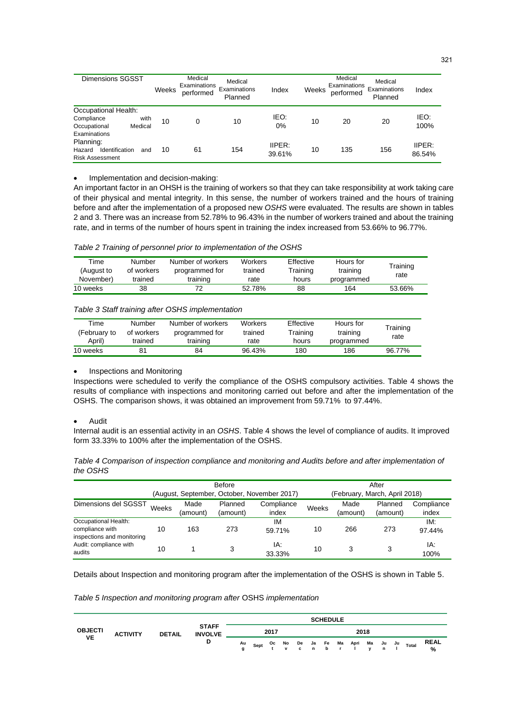| <b>Dimensions SGSST</b>                                                               | Weeks | Medical<br>Examinations<br>performed | Medical<br>Examinations<br>Planned | Index            | Weeks | Medical<br>Examinations<br>performed | Medical<br>Examinations<br>Planned | Index            |
|---------------------------------------------------------------------------------------|-------|--------------------------------------|------------------------------------|------------------|-------|--------------------------------------|------------------------------------|------------------|
| Occupational Health:<br>Compliance<br>with<br>Occupational<br>Medical<br>Examinations | 10    | 0                                    | 10                                 | IEO:<br>0%       | 10    | 20                                   | 20                                 | IEO:<br>100%     |
| Planning:<br>Hazard<br>Identification<br>and<br>Risk Assessment                       | 10    | 61                                   | 154                                | IIPER:<br>39.61% | 10    | 135                                  | 156                                | IIPER:<br>86.54% |

## • Implementation and decision-making:

An important factor in an OHSH is the training of workers so that they can take responsibility at work taking care of their physical and mental integrity. In this sense, the number of workers trained and the hours of training before and after the implementation of a proposed new *OSHS* were evaluated. The results are shown in tables 2 and 3. There was an increase from 52.78% to 96.43% in the number of workers trained and about the training rate, and in terms of the number of hours spent in training the index increased from 53.66% to 96.77%.

## *Table 2 Training of personnel prior to implementation of the OSHS*

| Time<br>(August to<br>November) | Number<br>of workers<br>trained | Number of workers<br>programmed for<br>training | <b>Workers</b><br>trained<br>rate | Effective<br>Training<br>hours | Hours for<br>training<br>programmed | Training<br>rate |
|---------------------------------|---------------------------------|-------------------------------------------------|-----------------------------------|--------------------------------|-------------------------------------|------------------|
| 10 weeks                        | 38                              | 72                                              | 52.78%                            | 88                             | 164                                 | 53.66%           |

## *Table 3 Staff training after OSHS implementation*

| Time<br>(February to<br>(April | Number<br>of workers<br>trained | Number of workers<br>programmed for<br>training | Workers<br>trained<br>rate | Effective<br>Training<br>hours | Hours for<br>training<br>programmed | Training<br>rate |
|--------------------------------|---------------------------------|-------------------------------------------------|----------------------------|--------------------------------|-------------------------------------|------------------|
| 10 weeks                       |                                 | 84                                              | 96.43%                     | 180                            | 186                                 | 96.77%           |

#### • Inspections and Monitoring

Inspections were scheduled to verify the compliance of the OSHS compulsory activities. Table 4 shows the results of compliance with inspections and monitoring carried out before and after the implementation of the OSHS. The comparison shows, it was obtained an improvement from 59.71% to 97.44%.

#### • Audit

Internal audit is an essential activity in an *OSHS*. Table 4 shows the level of compliance of audits. It improved form 33.33% to 100% after the implementation of the OSHS.

| Table 4 Comparison of inspection compliance and monitoring and Audits before and after implementation of |  |
|----------------------------------------------------------------------------------------------------------|--|
| the OSHS                                                                                                 |  |

|                                                                       |       |                  | <b>Before</b>       |                                             |                               |                  | After               |                     |  |  |  |
|-----------------------------------------------------------------------|-------|------------------|---------------------|---------------------------------------------|-------------------------------|------------------|---------------------|---------------------|--|--|--|
|                                                                       |       |                  |                     | (August, September, October, November 2017) | (February, March, April 2018) |                  |                     |                     |  |  |  |
| Dimensions del SGSST                                                  | Weeks | Made<br>(amount) | Planned<br>(amount) | Compliance<br>index                         | Weeks                         | Made<br>(amount) | Planned<br>(amount) | Compliance<br>index |  |  |  |
| Occupational Health:<br>compliance with<br>inspections and monitoring | 10    | 163              | 273                 | ıм<br>59.71%                                | 10                            | 266              | 273                 | IM:<br>97.44%       |  |  |  |
| Audit: compliance with<br>audits                                      | 10    |                  |                     | IA:<br>33.33%                               | 10                            |                  | 3                   | IA:<br>100%         |  |  |  |

Details about Inspection and monitoring program after the implementation of the OSHS is shown in Table 5.

*Table 5 Inspection and monitoring program after* OSHS *implementation*

|                      |               |                                |         |      |      |  | <b>SCHEDULE</b> |                                             |  |    |       |                  |
|----------------------|---------------|--------------------------------|---------|------|------|--|-----------------|---------------------------------------------|--|----|-------|------------------|
| <b>OBJECTI</b><br>VE | <b>DETAIL</b> | <b>STAFF</b><br><b>INVOLVE</b> |         |      | 2017 |  |                 | 2018                                        |  |    |       |                  |
|                      |               | D                              | Au<br>a | Sept |      |  |                 | Oc No De Ja Fe Ma Apri Ma Ju<br>tvc nbr lyn |  | Ju | Total | <b>REAL</b><br>% |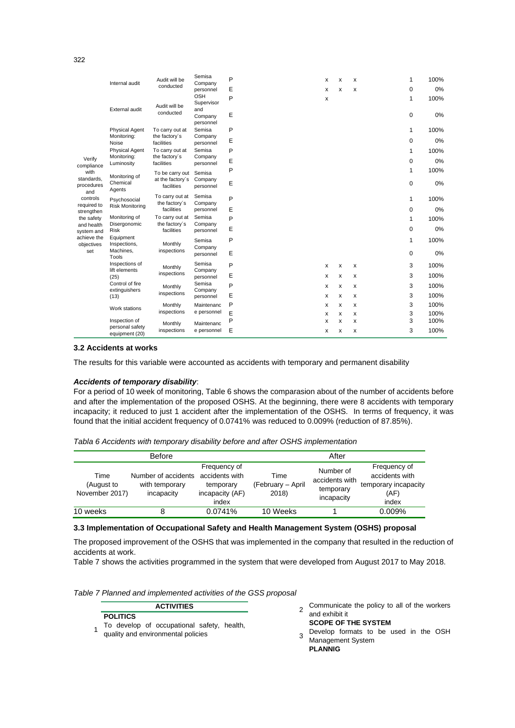|                                 | Internal audit                   | Audit will be                    | Semisa<br>Company               | P |  | x | x | x | 1 | 100% |
|---------------------------------|----------------------------------|----------------------------------|---------------------------------|---|--|---|---|---|---|------|
|                                 |                                  | conducted                        | personnel                       | E |  | x | x | x | 0 | 0%   |
|                                 | External audit                   | Audit will be                    | <b>OSH</b><br>Supervisor<br>and | P |  | x |   |   | 1 | 100% |
|                                 |                                  | conducted                        | Company<br>personnel            | Ε |  |   |   |   | 0 | 0%   |
|                                 | Physical Agent                   | To carry out at                  | Semisa                          | P |  |   |   |   | 1 | 100% |
|                                 | Monitoring:<br>Noise             | the factory's<br>facilities      | Company<br>personnel            | E |  |   |   |   | 0 | 0%   |
|                                 | Physical Agent                   | To carry out at                  | Semisa                          | P |  |   |   |   | 1 | 100% |
| Verify<br>compliance            | Monitoring:<br>Luminosity        | the factory's<br>facilities      | Company<br>personnel            | E |  |   |   |   | 0 | 0%   |
| with                            | Monitoring of                    | To be carry out                  | Semisa                          | P |  |   |   |   | 1 | 100% |
| standards,<br>procedures<br>and | Chemical<br>Agents               | at the factory's<br>facilities   | Company<br>personnel            | E |  |   |   |   | 0 | 0%   |
| controls                        | Psychosocial                     | To carry out at<br>the factory's | Semisa<br>Company               | P |  |   |   |   | 1 | 100% |
| required to<br>strengthen       | <b>Risk Monitoring</b>           | facilities                       | personnel                       | Ε |  |   |   |   | 0 | 0%   |
| the safety                      | Monitoring of                    | To carry out at                  | Semisa                          | P |  |   |   |   | 1 | 100% |
| and health<br>system and        | Disergonomic<br><b>Risk</b>      | the factory's<br>facilities      | Company<br>personnel            | E |  |   |   |   | 0 | 0%   |
| achieve the<br>objectives       | Equipment<br>Inspections,        | Monthly                          | Semisa                          | P |  |   |   |   | 1 | 100% |
| set                             | Machines,<br>Tools               | inspections                      | Company<br>personnel            | Ε |  |   |   |   | 0 | 0%   |
|                                 | Inspections of<br>lift elements  | Monthly                          | Semisa<br>Company               | P |  | X | X | x | 3 | 100% |
|                                 | (25)                             | inspections                      | personnel                       | E |  | x | x | x | 3 | 100% |
|                                 | Control of fire<br>extinguishers | Monthly                          | Semisa<br>Company               | P |  | x | x | x | 3 | 100% |
|                                 | (13)                             | inspections                      | personnel                       | Ε |  | x | x | x | 3 | 100% |
|                                 | Work stations                    | Monthly                          | Maintenanc                      | P |  | x | x | x | 3 | 100% |
|                                 |                                  | inspections                      | e personnel                     | E |  | x | x | x | 3 | 100% |
|                                 | Inspection of<br>personal safety | Monthly                          | Maintenanc                      | Ρ |  | x | x | x | 3 | 100% |
|                                 | equipment (20)                   | inspections                      | e personnel                     | E |  | x | x | x | 3 | 100% |

# **3.2 Accidents at works**

The results for this variable were accounted as accidents with temporary and permanent disability

## *Accidents of temporary disability*:

For a period of 10 week of monitoring, Table 6 shows the comparasion about of the number of accidents before and after the implementation of the proposed OSHS. At the beginning, there were 8 accidents with temporary incapacity; it reduced to just 1 accident after the implementation of the OSHS. In terms of frequency, it was found that the initial accident frequency of 0.0741% was reduced to 0.009% (reduction of 87.85%).

*Tabla 6 Accidents with temporary disability before and after OSHS implementation*

|                                      | <b>Before</b>                                       |                                                                         |                                    | After                                                  |                                                                         |
|--------------------------------------|-----------------------------------------------------|-------------------------------------------------------------------------|------------------------------------|--------------------------------------------------------|-------------------------------------------------------------------------|
| Time<br>(August to<br>November 2017) | Number of accidents<br>with temporary<br>incapacity | Frequency of<br>accidents with<br>temporary<br>incapacity (AF)<br>index | Time<br>(February - April<br>2018) | Number of<br>accidents with<br>temporary<br>incapacity | Frequency of<br>accidents with<br>temporary incapacity<br>(AF)<br>index |
| 10 weeks                             |                                                     | 0.0741%                                                                 | 10 Weeks                           |                                                        | 0.009%                                                                  |

#### **3.3 Implementation of Occupational Safety and Health Management System (OSHS) proposal**

The proposed improvement of the OSHS that was implemented in the company that resulted in the reduction of accidents at work.

Table 7 shows the activities programmed in the system that were developed from August 2017 to May 2018.

*Table 7 Planned and implemented activities of the GSS proposal*

# **ACTIVITIES**

- **POLITICS**
- 1 To develop of occupational safety, health, quality and environmental policies
- 2 Communicate the policy to all of the workers and exhibit it

**SCOPE OF THE SYSTEM**

3 Develop formats to be used in the OSH Management System **PLANNIG**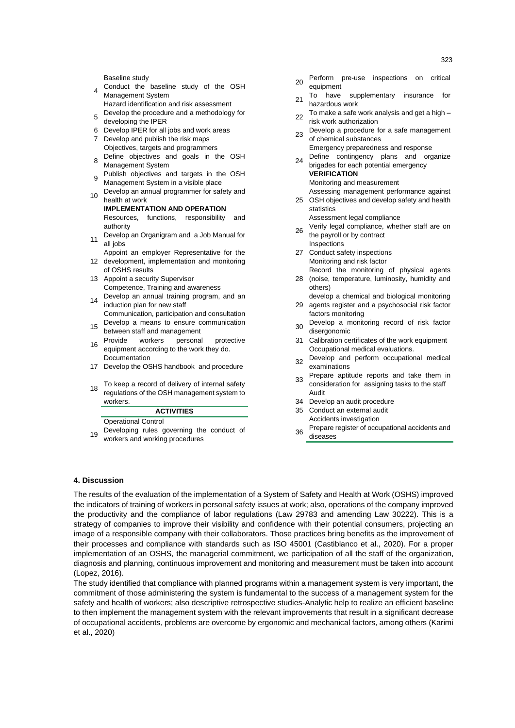- 4 Conduct the baseline study of the OSH Management System
- Hazard identification and risk assessment 5 Develop the procedure and a methodology for
- developing the IPER
- 6 Develop IPER for all jobs and work areas
- 7 Develop and publish the risk maps Objectives, targets and programmers
- 8 Define objectives and goals in the OSH Management System
- 9 Publish objectives and targets in the OSH Management System in a visible place
	- 10 Develop an annual programmer for safety and health at work
		- **IMPLEMENTATION AND OPERATION** Resources, functions, responsibility and authority
	- 11 Develop an Organigram and a Job Manual for all jobs
- 12 development, implementation and monitoring Appoint an employer Representative for the
	- of OSHS results 13 Appoint a security Supervisor Competence, Training and awareness
	- 14 Develop an annual training program, and an induction plan for new staff
	- Communication, participation and consultation 15 Develop a means to ensure communication
	- between staff and management
- <sup>16</sup> Provide workers personal protective equipment according to the work they do. Documentation
	- 17 Develop the OSHS handbook and procedure
	- 18 To keep a record of delivery of internal safety regulations of the OSH management system to workers.

# **ACTIVITIES**

Operational Control

19 Developing rules governing the conduct of workers and working procedures

- 20 Perform pre-use inspections on critical
- equipment 21 To have supplementary insurance for
- hazardous work  $22$  To make a safe work analysis and get a high –
- risk work authorization
- 23 Develop a procedure for a safe management of chemical substances
- Emergency preparedness and response <sup>24</sup> Define contingency plans and organize brigades for each potential emergency **VERIFICATION**
	- Monitoring and measurement Assessing management performance against
- 25 OSH objectives and develop safety and health statistics Assessment legal compliance
	- 26 Verify legal compliance, whether staff are on the payroll or by contract
	- **Inspections** 27 Conduct safety inspections
	- Monitoring and risk factor Record the monitoring of physical agents
	- 28 (noise, temperature, luminosity, humidity and others)
- 29 agents register and a psychosocial risk factor develop a chemical and biological monitoring
	- factors monitoring <sup>30</sup> Develop a monitoring record of risk factor
	- disergonomic 31 Calibration certificates of the work equipment Occupational medical evaluations.
	- 32 Develop and perform occupational medical examinations
	- 33 Prepare aptitude reports and take them in consideration for assigning tasks to the staff Audit
	- 34 Develop an audit procedure
	- 35 Conduct an external audit Accidents investigation
	- 36 Prepare register of occupational accidents and diseases

# **4. Discussion**

The results of the evaluation of the implementation of a System of Safety and Health at Work (OSHS) improved the indicators of training of workers in personal safety issues at work; also, operations of the company improved the productivity and the compliance of labor regulations (Law 29783 and amending Law 30222). This is a strategy of companies to improve their visibility and confidence with their potential consumers, projecting an image of a responsible company with their collaborators. Those practices bring benefits as the improvement of their processes and compliance with standards such as ISO 45001 (Castiblanco et al., 2020). For a proper implementation of an OSHS, the managerial commitment, we participation of all the staff of the organization, diagnosis and planning, continuous improvement and monitoring and measurement must be taken into account (Lopez, 2016).

The study identified that compliance with planned programs within a management system is very important, the commitment of those administering the system is fundamental to the success of a management system for the safety and health of workers; also descriptive retrospective studies-Analytic help to realize an efficient baseline to then implement the management system with the relevant improvements that result in a significant decrease of occupational accidents, problems are overcome by ergonomic and mechanical factors, among others (Karimi et al., 2020)